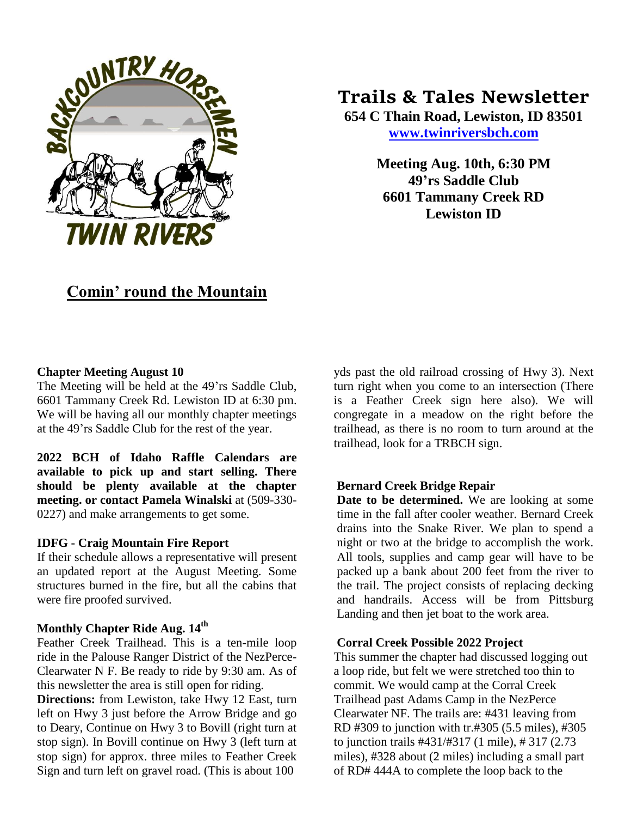

# **Trails & Tales Newsletter**

**654 C Thain Road, Lewiston, ID 83501 [www.twinriversbch.com](http://www.twinriversbch.com/)**

> **Meeting Aug. 10th, 6:30 PM 49'rs Saddle Club 6601 Tammany Creek RD Lewiston ID**

## **Comin' round the Mountain**

## **Chapter Meeting August 10**

The Meeting will be held at the 49'rs Saddle Club, 6601 Tammany Creek Rd. Lewiston ID at 6:30 pm. We will be having all our monthly chapter meetings at the 49'rs Saddle Club for the rest of the year.

**2022 BCH of Idaho Raffle Calendars are available to pick up and start selling. There should be plenty available at the chapter meeting. or contact Pamela Winalski** at (509-330- 0227) and make arrangements to get some.

## **IDFG - Craig Mountain Fire Report**

If their schedule allows a representative will present an updated report at the August Meeting. Some structures burned in the fire, but all the cabins that were fire proofed survived.

## **Monthly Chapter Ride Aug. 14th**

Feather Creek Trailhead. This is a ten-mile loop ride in the Palouse Ranger District of the NezPerce-Clearwater N F. Be ready to ride by 9:30 am. As of this newsletter the area is still open for riding.

**Directions:** from Lewiston, take Hwy 12 East, turn left on Hwy 3 just before the Arrow Bridge and go to Deary, Continue on Hwy 3 to Bovill (right turn at stop sign). In Bovill continue on Hwy 3 (left turn at stop sign) for approx. three miles to Feather Creek Sign and turn left on gravel road. (This is about 100

yds past the old railroad crossing of Hwy 3). Next turn right when you come to an intersection (There is a Feather Creek sign here also). We will congregate in a meadow on the right before the trailhead, as there is no room to turn around at the trailhead, look for a TRBCH sign.

### **Bernard Creek Bridge Repair**

**Date to be determined.** We are looking at some time in the fall after cooler weather. Bernard Creek drains into the Snake River. We plan to spend a night or two at the bridge to accomplish the work. All tools, supplies and camp gear will have to be packed up a bank about 200 feet from the river to the trail. The project consists of replacing decking and handrails. Access will be from Pittsburg Landing and then jet boat to the work area.

### **Corral Creek Possible 2022 Project**

This summer the chapter had discussed logging out a loop ride, but felt we were stretched too thin to commit. We would camp at the Corral Creek Trailhead past Adams Camp in the NezPerce Clearwater NF. The trails are: #431 leaving from RD #309 to junction with tr.#305 (5.5 miles), #305 to junction trails #431/#317 (1 mile), # 317 (2.73 miles), #328 about (2 miles) including a small part of RD# 444A to complete the loop back to the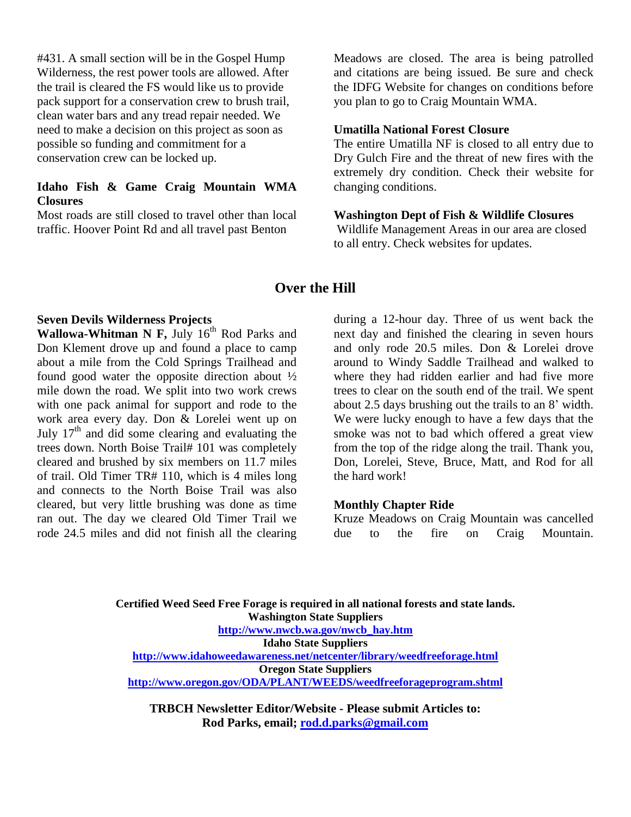#431. A small section will be in the Gospel Hump Wilderness, the rest power tools are allowed. After the trail is cleared the FS would like us to provide pack support for a conservation crew to brush trail, clean water bars and any tread repair needed. We need to make a decision on this project as soon as possible so funding and commitment for a conservation crew can be locked up.

## **Idaho Fish & Game Craig Mountain WMA Closures**

Most roads are still closed to travel other than local traffic. Hoover Point Rd and all travel past Benton

Meadows are closed. The area is being patrolled and citations are being issued. Be sure and check the IDFG Website for changes on conditions before you plan to go to Craig Mountain WMA.

## **Umatilla National Forest Closure**

The entire Umatilla NF is closed to all entry due to Dry Gulch Fire and the threat of new fires with the extremely dry condition. Check their website for changing conditions.

#### **Washington Dept of Fish & Wildlife Closures**

Wildlife Management Areas in our area are closed to all entry. Check websites for updates.

## **Over the Hill**

## **Seven Devils Wilderness Projects**

**Wallowa-Whitman N F, July 16th Rod Parks and** Don Klement drove up and found a place to camp about a mile from the Cold Springs Trailhead and found good water the opposite direction about ½ mile down the road. We split into two work crews with one pack animal for support and rode to the work area every day. Don & Lorelei went up on July  $17<sup>th</sup>$  and did some clearing and evaluating the trees down. North Boise Trail# 101 was completely cleared and brushed by six members on 11.7 miles of trail. Old Timer TR# 110, which is 4 miles long and connects to the North Boise Trail was also cleared, but very little brushing was done as time ran out. The day we cleared Old Timer Trail we rode 24.5 miles and did not finish all the clearing

during a 12-hour day. Three of us went back the next day and finished the clearing in seven hours and only rode 20.5 miles. Don & Lorelei drove around to Windy Saddle Trailhead and walked to where they had ridden earlier and had five more trees to clear on the south end of the trail. We spent about 2.5 days brushing out the trails to an 8' width. We were lucky enough to have a few days that the smoke was not to bad which offered a great view from the top of the ridge along the trail. Thank you, Don, Lorelei, Steve, Bruce, Matt, and Rod for all the hard work!

### **Monthly Chapter Ride**

Kruze Meadows on Craig Mountain was cancelled due to the fire on Craig Mountain.

**Certified Weed Seed Free Forage is required in all national forests and state lands. Washington State Suppliers [http://www.nwcb.wa.gov/nwcb\\_hay.htm](http://www.nwcb.wa.gov/nwcb_hay.htm) Idaho State Suppliers <http://www.idahoweedawareness.net/netcenter/library/weedfreeforage.html> Oregon State Suppliers <http://www.oregon.gov/ODA/PLANT/WEEDS/weedfreeforageprogram.shtml>**

**TRBCH Newsletter Editor/Website - Please submit Articles to: Rod Parks, email; [rod.d.parks@gmail.com](mailto:rod.d.parks@gmail.com)**